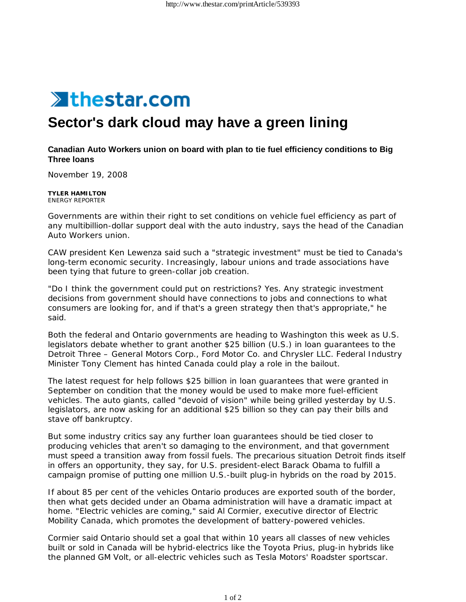

## **Sector's dark cloud may have a green lining**

## **Canadian Auto Workers union on board with plan to tie fuel efficiency conditions to Big Three loans**

November 19, 2008

**TYLER HAMILTON** ENERGY REPORTER

Governments are within their right to set conditions on vehicle fuel efficiency as part of any multibillion-dollar support deal with the auto industry, says the head of the Canadian Auto Workers union.

CAW president Ken Lewenza said such a "strategic investment" must be tied to Canada's long-term economic security. Increasingly, labour unions and trade associations have been tying that future to green-collar job creation.

"Do I think the government could put on restrictions? Yes. Any strategic investment decisions from government should have connections to jobs and connections to what consumers are looking for, and if that's a green strategy then that's appropriate," he said.

Both the federal and Ontario governments are heading to Washington this week as U.S. legislators debate whether to grant another \$25 billion (U.S.) in loan guarantees to the Detroit Three – General Motors Corp., Ford Motor Co. and Chrysler LLC. Federal Industry Minister Tony Clement has hinted Canada could play a role in the bailout.

The latest request for help follows \$25 billion in loan guarantees that were granted in September on condition that the money would be used to make more fuel-efficient vehicles. The auto giants, called "devoid of vision" while being grilled yesterday by U.S. legislators, are now asking for an additional \$25 billion so they can pay their bills and stave off bankruptcy.

But some industry critics say any further loan guarantees should be tied closer to producing vehicles that aren't so damaging to the environment, and that government must speed a transition away from fossil fuels. The precarious situation Detroit finds itself in offers an opportunity, they say, for U.S. president-elect Barack Obama to fulfill a campaign promise of putting one million U.S.-built plug-in hybrids on the road by 2015.

If about 85 per cent of the vehicles Ontario produces are exported south of the border, then what gets decided under an Obama administration will have a dramatic impact at home. "Electric vehicles are coming," said Al Cormier, executive director of Electric Mobility Canada, which promotes the development of battery-powered vehicles.

Cormier said Ontario should set a goal that within 10 years all classes of new vehicles built or sold in Canada will be hybrid-electrics like the Toyota Prius, plug-in hybrids like the planned GM Volt, or all-electric vehicles such as Tesla Motors' Roadster sportscar.